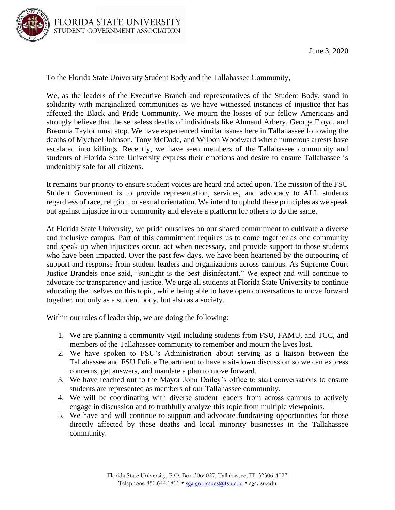

To the Florida State University Student Body and the Tallahassee Community,

We, as the leaders of the Executive Branch and representatives of the Student Body, stand in solidarity with marginalized communities as we have witnessed instances of injustice that has affected the Black and Pride Community. We mourn the losses of our fellow Americans and strongly believe that the senseless deaths of individuals like Ahmaud Arbery, George Floyd, and Breonna Taylor must stop. We have experienced similar issues here in Tallahassee following the deaths of Mychael Johnson, Tony McDade, and Wilbon Woodward where numerous arrests have escalated into killings. Recently, we have seen members of the Tallahassee community and students of Florida State University express their emotions and desire to ensure Tallahassee is undeniably safe for all citizens.

It remains our priority to ensure student voices are heard and acted upon. The mission of the FSU Student Government is to provide representation, services, and advocacy to ALL students regardless of race, religion, or sexual orientation. We intend to uphold these principles as we speak out against injustice in our community and elevate a platform for others to do the same.

At Florida State University, we pride ourselves on our shared commitment to cultivate a diverse and inclusive campus. Part of this commitment requires us to come together as one community and speak up when injustices occur, act when necessary, and provide support to those students who have been impacted. Over the past few days, we have been heartened by the outpouring of support and response from student leaders and organizations across campus. As Supreme Court Justice Brandeis once said, "sunlight is the best disinfectant." We expect and will continue to advocate for transparency and justice. We urge all students at Florida State University to continue educating themselves on this topic, while being able to have open conversations to move forward together, not only as a student body, but also as a society.

Within our roles of leadership, we are doing the following:

- 1. We are planning a community vigil including students from FSU, FAMU, and TCC, and members of the Tallahassee community to remember and mourn the lives lost.
- 2. We have spoken to FSU's Administration about serving as a liaison between the Tallahassee and FSU Police Department to have a sit-down discussion so we can express concerns, get answers, and mandate a plan to move forward.
- 3. We have reached out to the Mayor John Dailey's office to start conversations to ensure students are represented as members of our Tallahassee community.
- 4. We will be coordinating with diverse student leaders from across campus to actively engage in discussion and to truthfully analyze this topic from multiple viewpoints.
- 5. We have and will continue to support and advocate fundraising opportunities for those directly affected by these deaths and local minority businesses in the Tallahassee community.